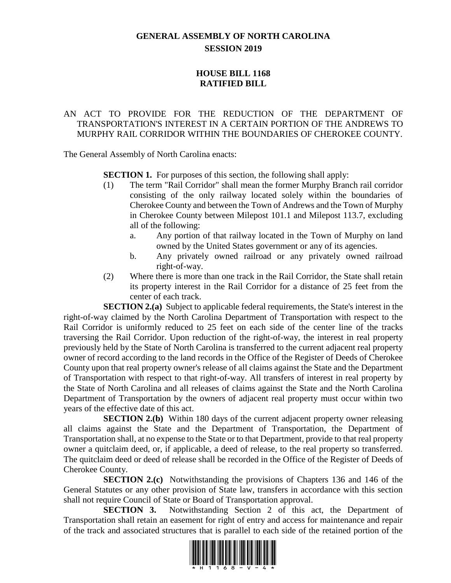## **GENERAL ASSEMBLY OF NORTH CAROLINA SESSION 2019**

## **HOUSE BILL 1168 RATIFIED BILL**

## AN ACT TO PROVIDE FOR THE REDUCTION OF THE DEPARTMENT OF TRANSPORTATION'S INTEREST IN A CERTAIN PORTION OF THE ANDREWS TO MURPHY RAIL CORRIDOR WITHIN THE BOUNDARIES OF CHEROKEE COUNTY.

The General Assembly of North Carolina enacts:

**SECTION 1.** For purposes of this section, the following shall apply:

- (1) The term "Rail Corridor" shall mean the former Murphy Branch rail corridor consisting of the only railway located solely within the boundaries of Cherokee County and between the Town of Andrews and the Town of Murphy in Cherokee County between Milepost 101.1 and Milepost 113.7, excluding all of the following:
	- a. Any portion of that railway located in the Town of Murphy on land owned by the United States government or any of its agencies.
	- b. Any privately owned railroad or any privately owned railroad right-of-way.
- (2) Where there is more than one track in the Rail Corridor, the State shall retain its property interest in the Rail Corridor for a distance of 25 feet from the center of each track.

**SECTION 2.(a)** Subject to applicable federal requirements, the State's interest in the right-of-way claimed by the North Carolina Department of Transportation with respect to the Rail Corridor is uniformly reduced to 25 feet on each side of the center line of the tracks traversing the Rail Corridor. Upon reduction of the right-of-way, the interest in real property previously held by the State of North Carolina is transferred to the current adjacent real property owner of record according to the land records in the Office of the Register of Deeds of Cherokee County upon that real property owner's release of all claims against the State and the Department of Transportation with respect to that right-of-way. All transfers of interest in real property by the State of North Carolina and all releases of claims against the State and the North Carolina Department of Transportation by the owners of adjacent real property must occur within two years of the effective date of this act.

**SECTION 2.(b)** Within 180 days of the current adjacent property owner releasing all claims against the State and the Department of Transportation, the Department of Transportation shall, at no expense to the State or to that Department, provide to that real property owner a quitclaim deed, or, if applicable, a deed of release, to the real property so transferred. The quitclaim deed or deed of release shall be recorded in the Office of the Register of Deeds of Cherokee County.

**SECTION 2.(c)** Notwithstanding the provisions of Chapters 136 and 146 of the General Statutes or any other provision of State law, transfers in accordance with this section shall not require Council of State or Board of Transportation approval.

**SECTION 3.** Notwithstanding Section 2 of this act, the Department of Transportation shall retain an easement for right of entry and access for maintenance and repair of the track and associated structures that is parallel to each side of the retained portion of the